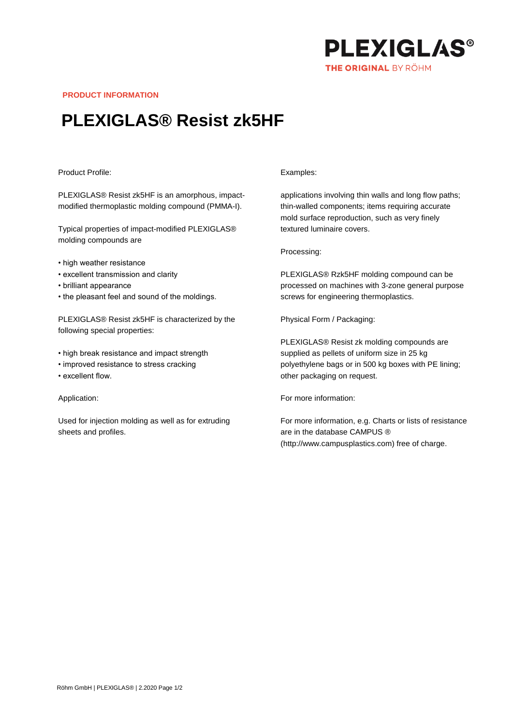

**PRODUCT INFORMATION**

# **PLEXIGLAS® Resist zk5HF**

## Product Profile:

PLEXIGLAS® Resist zk5HF is an amorphous, impactmodified thermoplastic molding compound (PMMA-I).

Typical properties of impact-modified PLEXIGLAS® molding compounds are

- high weather resistance
- excellent transmission and clarity
- brilliant appearance
- the pleasant feel and sound of the moldings.

PLEXIGLAS® Resist zk5HF is characterized by the following special properties:

- high break resistance and impact strength
- improved resistance to stress cracking
- excellent flow.

#### Application:

Used for injection molding as well as for extruding sheets and profiles.

#### Examples:

applications involving thin walls and long flow paths; thin-walled components; items requiring accurate mold surface reproduction, such as very finely textured luminaire covers.

### Processing:

PLEXIGLAS® Rzk5HF molding compound can be processed on machines with 3-zone general purpose screws for engineering thermoplastics.

Physical Form / Packaging:

PLEXIGLAS® Resist zk molding compounds are supplied as pellets of uniform size in 25 kg polyethylene bags or in 500 kg boxes with PE lining; other packaging on request.

For more information:

For more information, e.g. Charts or lists of resistance are in the database CAMPUS ® (http://www.campusplastics.com) free of charge.